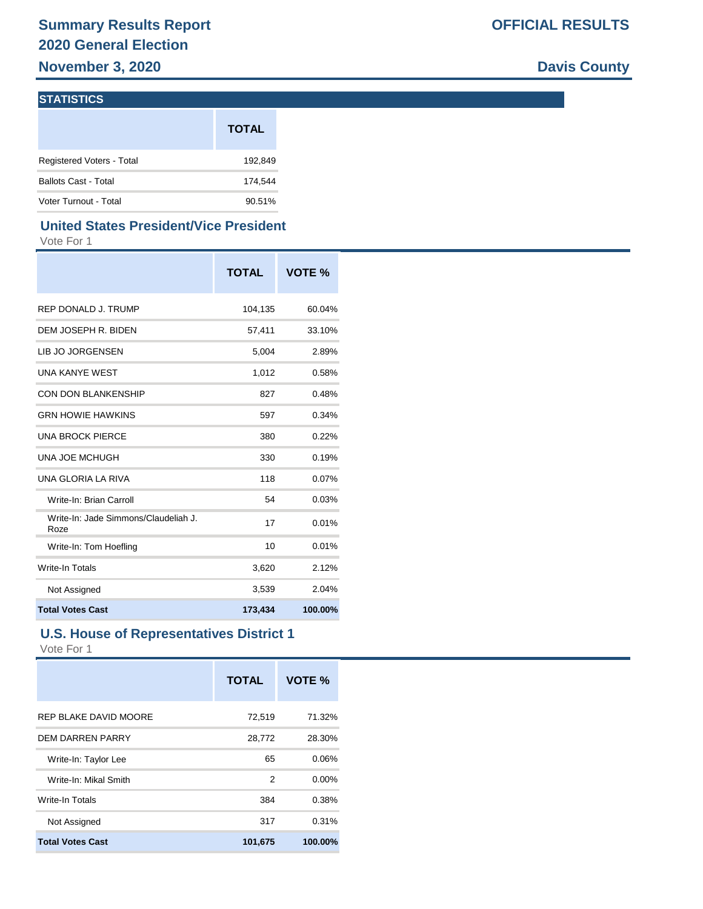**November 3, 2020 Davis County** 

### **STATISTICS**

|                             | <b>TOTAL</b> |
|-----------------------------|--------------|
| Registered Voters - Total   | 192,849      |
| <b>Ballots Cast - Total</b> | 174.544      |
| Voter Turnout - Total       | 90.51%       |

### **United States President/Vice President**

Vote For 1

|                                              | <b>TOTAL</b> | VOTE %  |
|----------------------------------------------|--------------|---------|
| REP DONALD J. TRUMP                          | 104,135      | 60.04%  |
| DEM JOSEPH R. BIDEN                          | 57,411       | 33.10%  |
| LIB JO JORGENSEN                             | 5,004        | 2.89%   |
| <b>UNA KANYE WEST</b>                        | 1,012        | 0.58%   |
| <b>CON DON BLANKENSHIP</b>                   | 827          | 0.48%   |
| <b>GRN HOWIE HAWKINS</b>                     | 597          | 0.34%   |
| <b>UNA BROCK PIERCE</b>                      | 380          | 0.22%   |
| UNA JOE MCHUGH                               | 330          | 0.19%   |
| UNA GLORIA LA RIVA                           | 118          | 0.07%   |
| Write-In: Brian Carroll                      | 54           | 0.03%   |
| Write-In: Jade Simmons/Claudeliah J.<br>Roze | 17           | 0.01%   |
| Write-In: Tom Hoefling                       | 10           | 0.01%   |
| Write-In Totals                              | 3,620        | 2.12%   |
| Not Assigned                                 | 3,539        | 2.04%   |
| <b>Total Votes Cast</b>                      | 173,434      | 100.00% |

### **U.S. House of Representatives District 1**

|                         | <b>TOTAL</b> | VOTE %   |
|-------------------------|--------------|----------|
| REP BLAKE DAVID MOORE   | 72,519       | 71.32%   |
| <b>DEM DARREN PARRY</b> | 28,772       | 28.30%   |
| Write-In: Taylor Lee    | 65           | 0.06%    |
| Write-In: Mikal Smith   | 2            | $0.00\%$ |
| Write-In Totals         | 384          | 0.38%    |
| Not Assigned            | 317          | 0.31%    |
| <b>Total Votes Cast</b> | 101,675      | 100.00%  |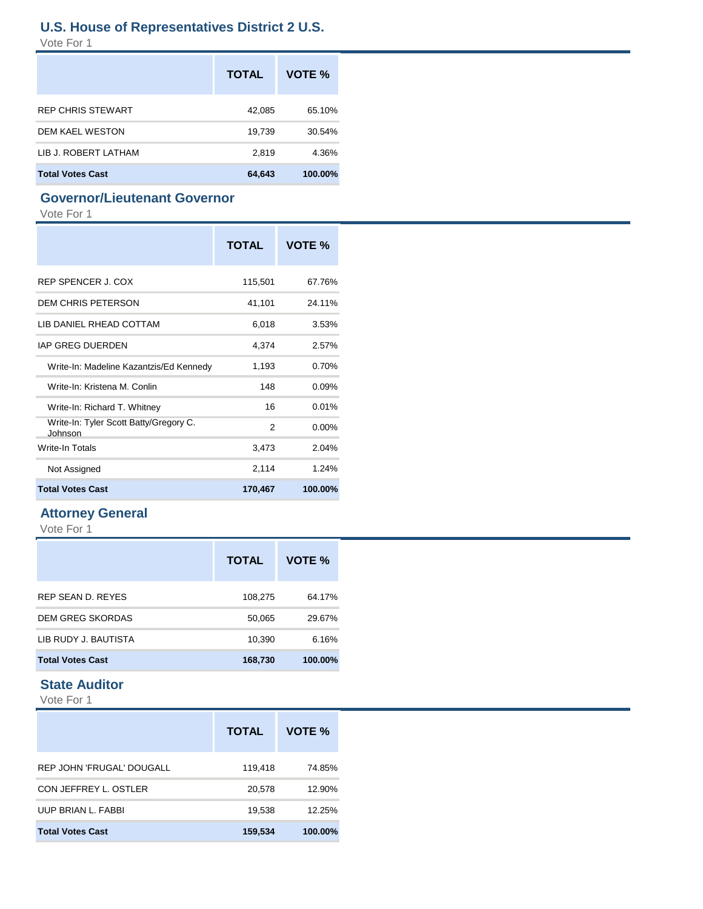### **U.S. House of Representatives District 2 U.S.**

Vote For 1

|                         | <b>TOTAL</b> | VOTE %  |
|-------------------------|--------------|---------|
| REP CHRIS STEWART       | 42,085       | 65.10%  |
| <b>DEM KAEL WESTON</b>  | 19,739       | 30.54%  |
| LIB J. ROBERT LATHAM    | 2,819        | 4.36%   |
| <b>Total Votes Cast</b> | 64,643       | 100.00% |

### **Governor/Lieutenant Governor**

Vote For 1

|                                                   | <b>TOTAL</b>   | VOTE %   |
|---------------------------------------------------|----------------|----------|
| REP SPENCER J. COX                                | 115,501        | 67.76%   |
| <b>DEM CHRIS PETERSON</b>                         | 41,101         | 24.11%   |
| LIB DANIEL RHEAD COTTAM                           | 6,018          | 3.53%    |
| <b>IAP GREG DUERDEN</b>                           | 4,374          | 2.57%    |
| Write-In: Madeline Kazantzis/Ed Kennedy           | 1,193          | 0.70%    |
| Write-In: Kristena M. Conlin                      | 148            | 0.09%    |
| Write-In: Richard T. Whitney                      | 16             | 0.01%    |
| Write-In: Tyler Scott Batty/Gregory C.<br>Johnson | $\mathfrak{p}$ | $0.00\%$ |
| Write-In Totals                                   | 3,473          | 2.04%    |
| Not Assigned                                      | 2,114          | 1.24%    |
| <b>Total Votes Cast</b>                           | 170,467        | 100.00%  |

### **Attorney General**

Vote For 1

|                         | <b>TOTAL</b> | VOTE %  |
|-------------------------|--------------|---------|
| REP SEAN D. REYES       | 108,275      | 64.17%  |
| <b>DEM GREG SKORDAS</b> | 50,065       | 29.67%  |
| LIB RUDY J. BAUTISTA    | 10,390       | 6.16%   |
| <b>Total Votes Cast</b> | 168,730      | 100.00% |

### **State Auditor**

|                                  | <b>TOTAL</b> | VOTE %  |
|----------------------------------|--------------|---------|
| <b>REP JOHN 'FRUGAL' DOUGALL</b> | 119,418      | 74.85%  |
| CON JEFFREY L. OSTLER            | 20,578       | 12.90%  |
| UUP BRIAN L. FABBI               | 19,538       | 12.25%  |
| <b>Total Votes Cast</b>          | 159,534      | 100.00% |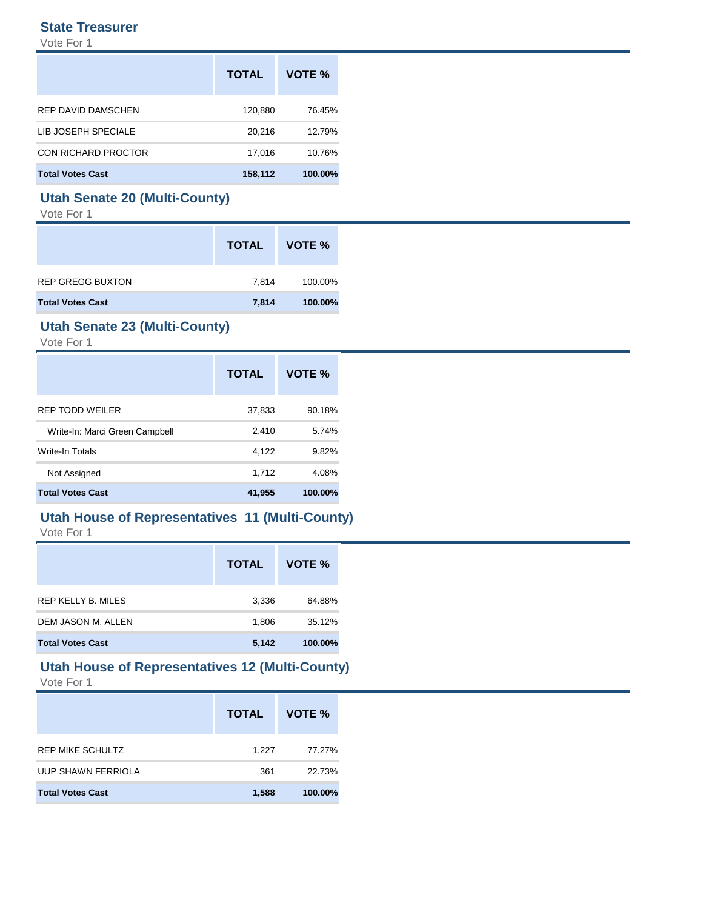#### **State Treasurer**

Vote For 1

|                         | <b>TOTAL</b> | VOTE %  |
|-------------------------|--------------|---------|
| REP DAVID DAMSCHEN      | 120,880      | 76.45%  |
| LIB JOSEPH SPECIALE     | 20,216       | 12.79%  |
| CON RICHARD PROCTOR     | 17.016       | 10.76%  |
| <b>Total Votes Cast</b> | 158,112      | 100.00% |

### **Utah Senate 20 (Multi-County)**

Vote For 1

|                         | <b>TOTAL</b> | VOTE %  |
|-------------------------|--------------|---------|
| <b>REP GREGG BUXTON</b> | 7,814        | 100.00% |
| <b>Total Votes Cast</b> | 7,814        | 100.00% |

### **Utah Senate 23 (Multi-County)**

Vote For 1

|                                | <b>TOTAL</b> | <b>VOTE %</b> |
|--------------------------------|--------------|---------------|
| REP TODD WEILER                | 37,833       | 90.18%        |
| Write-In: Marci Green Campbell | 2,410        | 5.74%         |
| Write-In Totals                | 4,122        | 9.82%         |
| Not Assigned                   | 1,712        | 4.08%         |
| <b>Total Votes Cast</b>        | 41,955       | 100.00%       |

## **Utah House of Representatives 11 (Multi-County)**

Vote For 1

|                           | <b>TOTAL</b> | VOTE %  |
|---------------------------|--------------|---------|
| <b>REP KELLY B. MILES</b> | 3,336        | 64.88%  |
| DEM JASON M. ALLEN        | 1,806        | 35.12%  |
| <b>Total Votes Cast</b>   | 5,142        | 100.00% |

#### **Utah House of Representatives 12 (Multi-County)** Vote For 1

|                           | <b>TOTAL</b> | VOTE %  |
|---------------------------|--------------|---------|
| <b>REP MIKE SCHULTZ</b>   | 1.227        | 77.27%  |
| <b>UUP SHAWN FERRIOLA</b> | 361          | 22.73%  |
| <b>Total Votes Cast</b>   | 1,588        | 100.00% |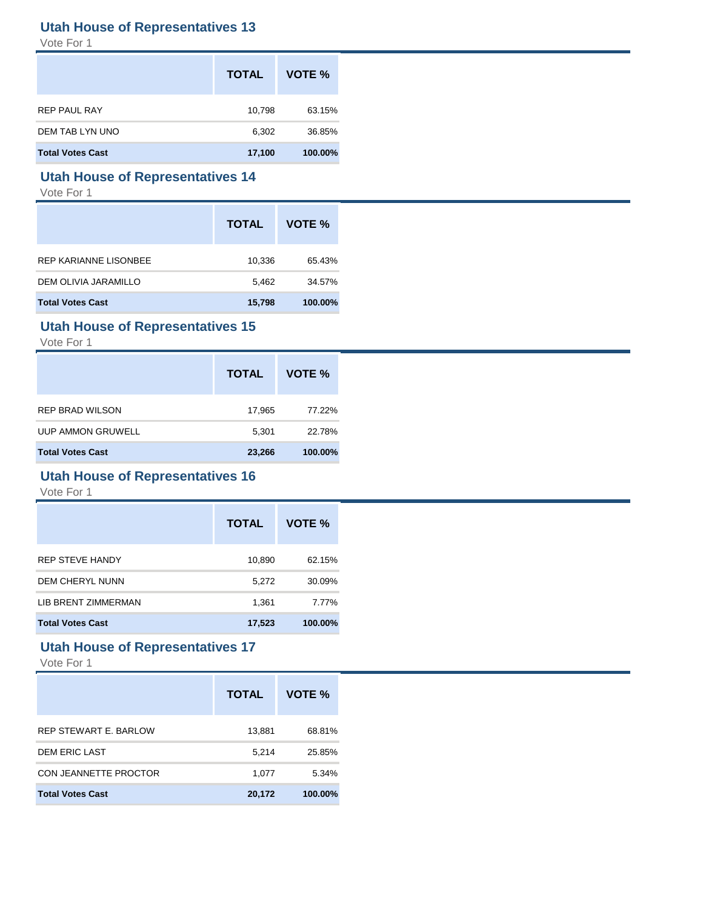### **Utah House of Representatives 13**

Vote For 1

|                         | <b>TOTAL</b> | VOTE %  |
|-------------------------|--------------|---------|
| <b>REP PAUL RAY</b>     | 10,798       | 63.15%  |
| DEM TAB LYN UNO         | 6,302        | 36.85%  |
| <b>Total Votes Cast</b> | 17,100       | 100.00% |

### **Utah House of Representatives 14**

Vote For 1

|                         | <b>TOTAL</b> | VOTE %  |
|-------------------------|--------------|---------|
| REP KARIANNE LISONBEE   | 10,336       | 65.43%  |
| DEM OLIVIA JARAMILLO    | 5,462        | 34.57%  |
| <b>Total Votes Cast</b> | 15,798       | 100.00% |

### **Utah House of Representatives 15**

Vote For 1

|                         | <b>TOTAL</b> | VOTE %  |
|-------------------------|--------------|---------|
| <b>REP BRAD WILSON</b>  | 17,965       | 77.22%  |
| UUP AMMON GRUWELL       | 5.301        | 22.78%  |
| <b>Total Votes Cast</b> | 23,266       | 100.00% |

### **Utah House of Representatives 16**

Vote For 1

|                         | <b>TOTAL</b> | VOTE %  |
|-------------------------|--------------|---------|
| <b>REP STEVE HANDY</b>  | 10,890       | 62.15%  |
| DEM CHERYL NUNN         | 5,272        | 30.09%  |
| LIB BRENT ZIMMERMAN     | 1,361        | 7.77%   |
| <b>Total Votes Cast</b> | 17,523       | 100.00% |

### **Utah House of Representatives 17**

|                              | <b>TOTAL</b> | VOTE %  |
|------------------------------|--------------|---------|
| <b>REP STEWART E. BARLOW</b> | 13,881       | 68.81%  |
| <b>DEM ERIC LAST</b>         | 5,214        | 25.85%  |
| CON JEANNETTE PROCTOR        | 1,077        | 5.34%   |
| <b>Total Votes Cast</b>      | 20,172       | 100.00% |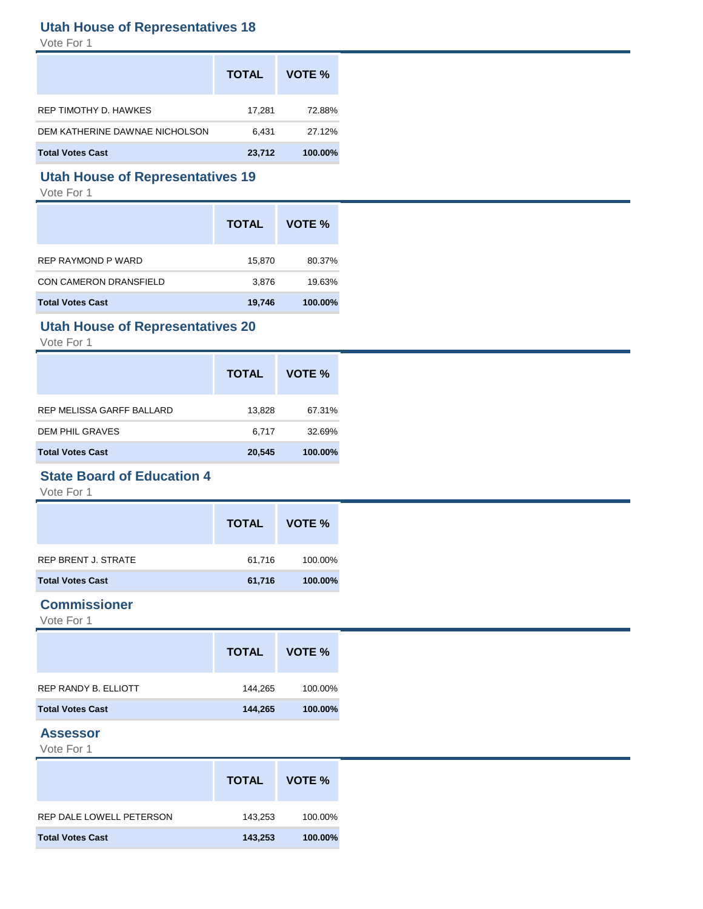### **Utah House of Representatives 18**

Vote For 1

|                                | <b>TOTAL</b> | VOTE %  |
|--------------------------------|--------------|---------|
| REP TIMOTHY D. HAWKES          | 17.281       | 72.88%  |
| DEM KATHERINE DAWNAE NICHOLSON | 6.431        | 27.12%  |
| <b>Total Votes Cast</b>        | 23,712       | 100.00% |

### **Utah House of Representatives 19**

Vote For 1

|                               | <b>TOTAL</b> | VOTE %  |
|-------------------------------|--------------|---------|
| REP RAYMOND P WARD            | 15,870       | 80.37%  |
| <b>CON CAMERON DRANSFIELD</b> | 3,876        | 19.63%  |
| <b>Total Votes Cast</b>       | 19,746       | 100.00% |

### **Utah House of Representatives 20**

Vote For 1

|                           | <b>TOTAL</b> | VOTE %  |
|---------------------------|--------------|---------|
| REP MELISSA GARFF BALLARD | 13,828       | 67.31%  |
| DEM PHIL GRAVES           | 6.717        | 32.69%  |
| <b>Total Votes Cast</b>   | 20,545       | 100.00% |

### **State Board of Education 4**

Vote For 1

|                         | <b>TOTAL</b> | VOTE %  |
|-------------------------|--------------|---------|
| REP BRENT J. STRATE     | 61,716       | 100.00% |
| <b>Total Votes Cast</b> | 61,716       | 100.00% |

#### **Commissioner**

Vote For 1

|                         | <b>TOTAL</b> | VOTE %  |
|-------------------------|--------------|---------|
| REP RANDY B. ELLIOTT    | 144,265      | 100.00% |
| <b>Total Votes Cast</b> | 144,265      | 100.00% |

### **Assessor**

|                          | <b>TOTAL</b> | VOTE %  |
|--------------------------|--------------|---------|
| REP DALE LOWELL PETERSON | 143,253      | 100.00% |
| <b>Total Votes Cast</b>  | 143,253      | 100.00% |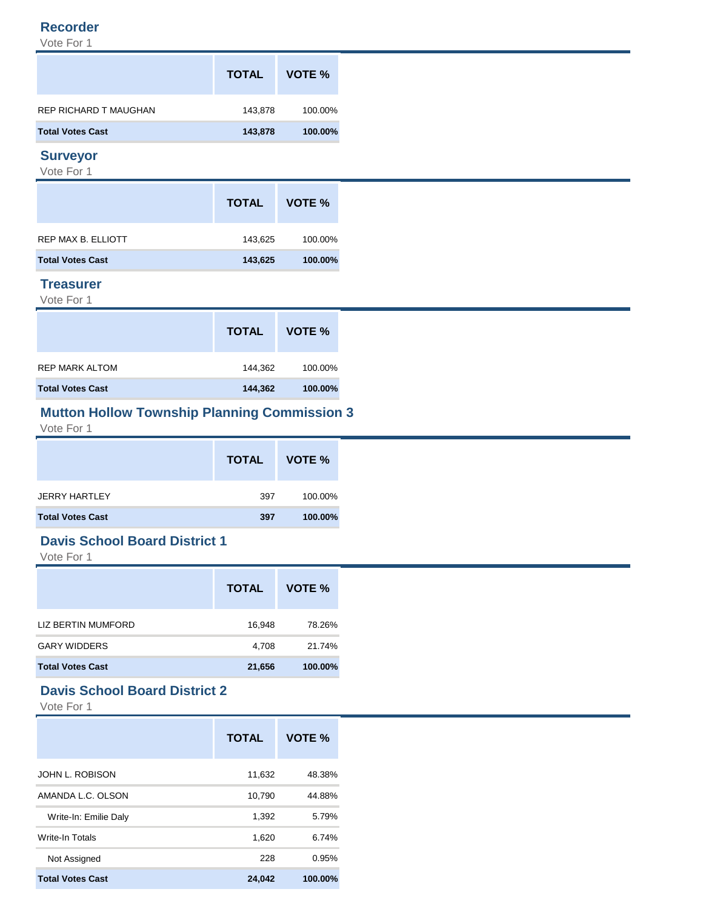#### **Recorder**

Vote For 1

| <b>TOTAL</b> | VOTE %  |
|--------------|---------|
| 143,878      | 100.00% |
| 143,878      | 100.00% |
|              |         |

### **Surveyor**

Vote For 1

|                         | <b>TOTAL</b> | VOTE %  |
|-------------------------|--------------|---------|
| REP MAX B. ELLIOTT      | 143,625      | 100.00% |
| <b>Total Votes Cast</b> | 143,625      | 100.00% |

### **Treasurer**

Vote For 1

|                         | <b>TOTAL</b> | VOTE %  |
|-------------------------|--------------|---------|
| REP MARK ALTOM          | 144,362      | 100.00% |
| <b>Total Votes Cast</b> | 144,362      | 100.00% |

### **Mutton Hollow Township Planning Commission 3**

Vote For 1

|                         | <b>TOTAL</b> | VOTE %  |
|-------------------------|--------------|---------|
| <b>JERRY HARTLEY</b>    | 397          | 100.00% |
| <b>Total Votes Cast</b> | 397          | 100.00% |

### **Davis School Board District 1**

Vote For 1

|                         | <b>TOTAL</b> | VOTE %  |
|-------------------------|--------------|---------|
| LIZ BERTIN MUMFORD      | 16,948       | 78.26%  |
| <b>GARY WIDDERS</b>     | 4,708        | 21.74%  |
| <b>Total Votes Cast</b> | 21,656       | 100.00% |

### **Davis School Board District 2**

|                         | <b>TOTAL</b> | VOTE %  |
|-------------------------|--------------|---------|
| <b>JOHN L. ROBISON</b>  | 11,632       | 48.38%  |
| AMANDA L.C. OLSON       | 10.790       | 44.88%  |
| Write-In: Emilie Daly   | 1,392        | 5.79%   |
| Write-In Totals         | 1,620        | 6.74%   |
| Not Assigned            | 228          | 0.95%   |
| <b>Total Votes Cast</b> | 24.042       | 100.00% |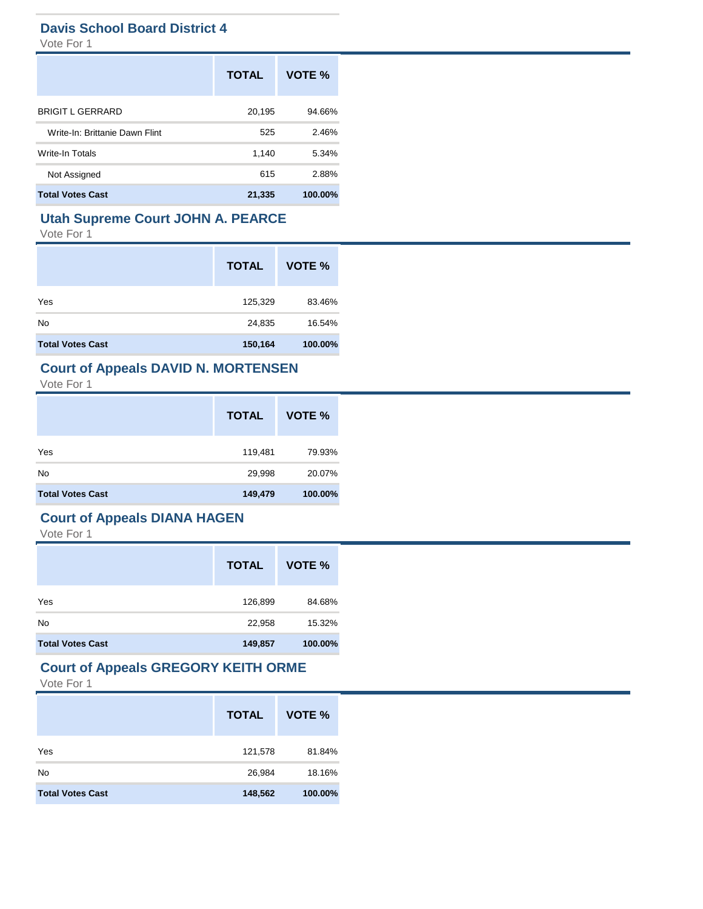### **Davis School Board District 4**

Vote For 1

|                                | <b>TOTAL</b> | VOTE %  |
|--------------------------------|--------------|---------|
| <b>BRIGIT L GERRARD</b>        | 20,195       | 94.66%  |
| Write-In: Brittanie Dawn Flint | 525          | 2.46%   |
| <b>Write-In Totals</b>         | 1,140        | 5.34%   |
| Not Assigned                   | 615          | 2.88%   |
| <b>Total Votes Cast</b>        | 21,335       | 100.00% |

### **Utah Supreme Court JOHN A. PEARCE**

Vote For 1

|                         | <b>TOTAL</b> | VOTE %  |
|-------------------------|--------------|---------|
| Yes                     | 125,329      | 83.46%  |
| No                      | 24,835       | 16.54%  |
| <b>Total Votes Cast</b> | 150,164      | 100.00% |

### **Court of Appeals DAVID N. MORTENSEN**

Vote For 1

|                         | <b>TOTAL</b> | VOTE %  |
|-------------------------|--------------|---------|
| Yes                     | 119,481      | 79.93%  |
| No                      | 29,998       | 20.07%  |
| <b>Total Votes Cast</b> | 149,479      | 100.00% |

### **Court of Appeals DIANA HAGEN**

Vote For 1

|                         | <b>TOTAL</b> | VOTE %  |
|-------------------------|--------------|---------|
| Yes                     | 126,899      | 84.68%  |
| No                      | 22,958       | 15.32%  |
| <b>Total Votes Cast</b> | 149,857      | 100.00% |

### **Court of Appeals GREGORY KEITH ORME**

|                         | <b>TOTAL</b> | VOTE %  |
|-------------------------|--------------|---------|
| Yes                     | 121,578      | 81.84%  |
| No                      | 26,984       | 18.16%  |
| <b>Total Votes Cast</b> | 148,562      | 100.00% |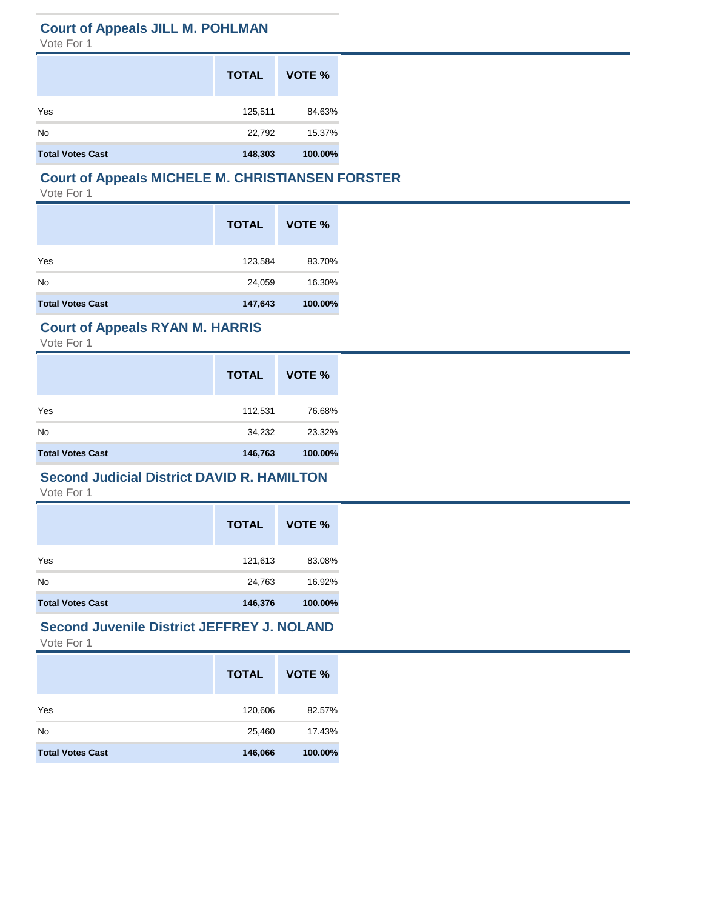### **Court of Appeals JILL M. POHLMAN**

Vote For 1

|                         | <b>TOTAL</b> | VOTE %  |
|-------------------------|--------------|---------|
| Yes                     | 125,511      | 84.63%  |
| No                      | 22,792       | 15.37%  |
| <b>Total Votes Cast</b> | 148,303      | 100.00% |

# **Court of Appeals MICHELE M. CHRISTIANSEN FORSTER**

Vote For 1

|                         | <b>TOTAL</b> | VOTE %  |
|-------------------------|--------------|---------|
| Yes                     | 123,584      | 83.70%  |
| No                      | 24,059       | 16.30%  |
| <b>Total Votes Cast</b> | 147,643      | 100.00% |

### **Court of Appeals RYAN M. HARRIS**

Vote For 1

|                         | <b>TOTAL</b> | VOTE %  |
|-------------------------|--------------|---------|
| Yes                     | 112,531      | 76.68%  |
| No                      | 34,232       | 23.32%  |
| <b>Total Votes Cast</b> | 146,763      | 100.00% |

### **Second Judicial District DAVID R. HAMILTON**

Vote For 1

|                         | <b>TOTAL</b> | VOTE %  |
|-------------------------|--------------|---------|
| Yes                     | 121,613      | 83.08%  |
| <b>No</b>               | 24,763       | 16.92%  |
| <b>Total Votes Cast</b> | 146,376      | 100.00% |

#### **Second Juvenile District JEFFREY J. NOLAND** Vote For 1

|                         | <b>TOTAL</b> | VOTE %  |
|-------------------------|--------------|---------|
| Yes                     | 120,606      | 82.57%  |
| No                      | 25,460       | 17.43%  |
| <b>Total Votes Cast</b> | 146,066      | 100.00% |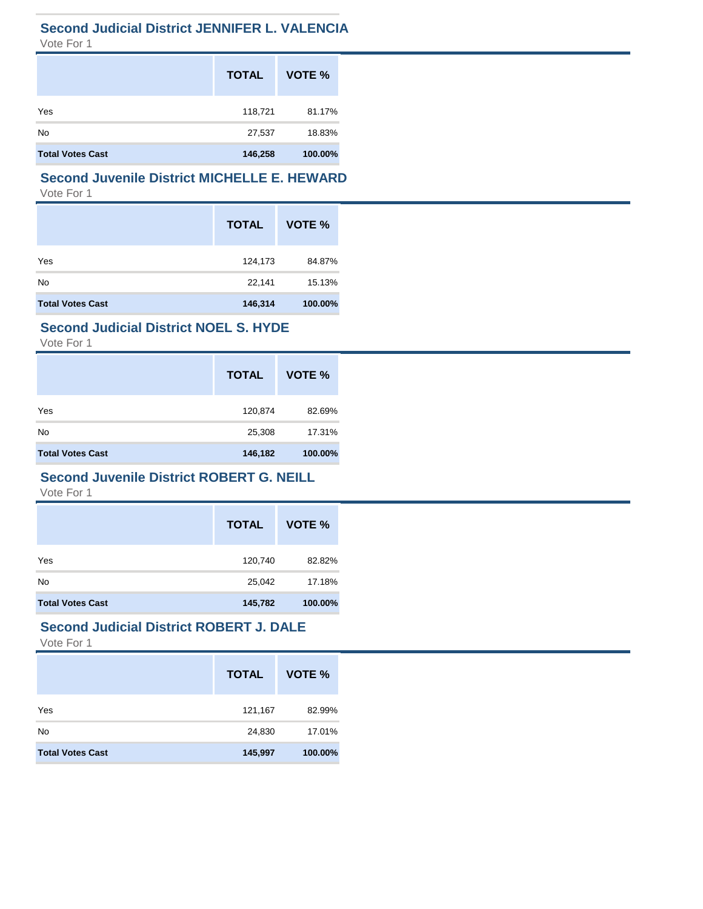### **Second Judicial District JENNIFER L. VALENCIA**

Vote For 1

|                         | <b>TOTAL</b> | VOTE %  |
|-------------------------|--------------|---------|
| Yes                     | 118,721      | 81.17%  |
| No                      | 27,537       | 18.83%  |
| <b>Total Votes Cast</b> | 146,258      | 100.00% |

### **Second Juvenile District MICHELLE E. HEWARD** Vote For 1

|                         | <b>TOTAL</b> | VOTE %  |
|-------------------------|--------------|---------|
| Yes                     | 124,173      | 84.87%  |
| No                      | 22,141       | 15.13%  |
| <b>Total Votes Cast</b> | 146,314      | 100.00% |

### **Second Judicial District NOEL S. HYDE**

Vote For 1

|                         | <b>TOTAL</b> | VOTE %  |
|-------------------------|--------------|---------|
| Yes                     | 120,874      | 82.69%  |
| <b>No</b>               | 25,308       | 17.31%  |
| <b>Total Votes Cast</b> | 146,182      | 100.00% |

#### **Second Juvenile District ROBERT G. NEILL**

Vote For 1

|                         | <b>TOTAL</b> | VOTE %  |
|-------------------------|--------------|---------|
| Yes                     | 120,740      | 82.82%  |
| No                      | 25,042       | 17.18%  |
| <b>Total Votes Cast</b> | 145,782      | 100.00% |

# **Second Judicial District ROBERT J. DALE**

|                         | <b>TOTAL</b> | VOTE %  |
|-------------------------|--------------|---------|
| Yes                     | 121,167      | 82.99%  |
| No                      | 24,830       | 17.01%  |
| <b>Total Votes Cast</b> | 145,997      | 100.00% |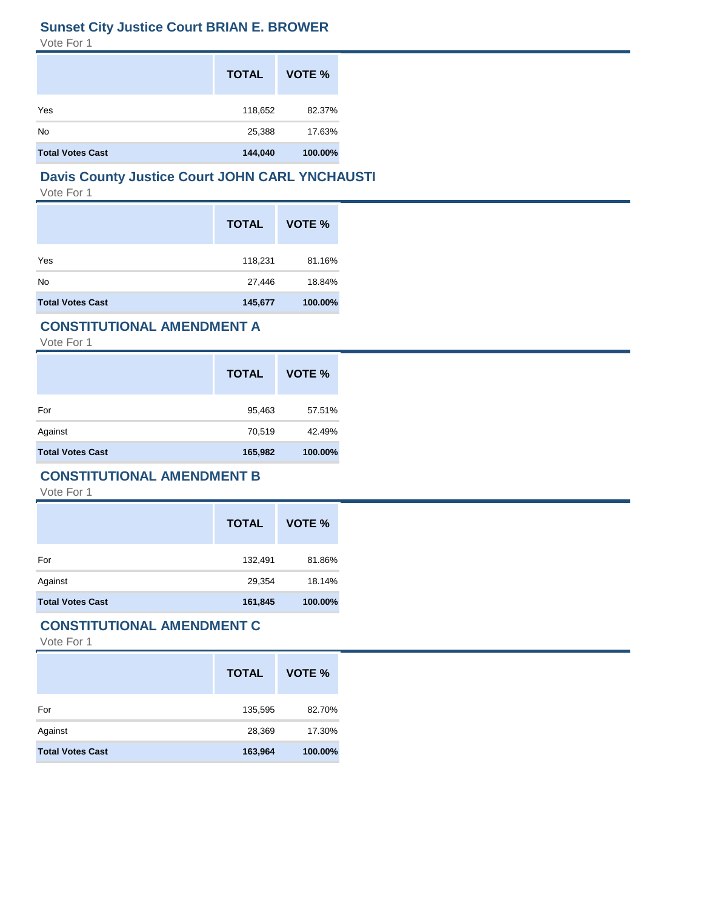### **Sunset City Justice Court BRIAN E. BROWER**

Vote For 1

|                         | <b>TOTAL</b> | VOTE %  |
|-------------------------|--------------|---------|
| Yes                     | 118,652      | 82.37%  |
| No                      | 25,388       | 17.63%  |
| <b>Total Votes Cast</b> | 144,040      | 100.00% |

# **Davis County Justice Court JOHN CARL YNCHAUSTI**

Vote For 1

|                         | <b>TOTAL</b> | VOTE %  |
|-------------------------|--------------|---------|
| Yes                     | 118,231      | 81.16%  |
| No                      | 27,446       | 18.84%  |
| <b>Total Votes Cast</b> | 145,677      | 100.00% |

### **CONSTITUTIONAL AMENDMENT A**

Vote For 1

|                         | <b>TOTAL</b> | VOTE %  |
|-------------------------|--------------|---------|
| For                     | 95,463       | 57.51%  |
| Against                 | 70,519       | 42.49%  |
| <b>Total Votes Cast</b> | 165,982      | 100.00% |

#### **CONSTITUTIONAL AMENDMENT B**

Vote For 1

|                         | <b>TOTAL</b> | VOTE %  |
|-------------------------|--------------|---------|
| For                     | 132,491      | 81.86%  |
| Against                 | 29,354       | 18.14%  |
| <b>Total Votes Cast</b> | 161,845      | 100.00% |

#### **CONSTITUTIONAL AMENDMENT C**

|                         | <b>TOTAL</b> | VOTE %  |
|-------------------------|--------------|---------|
| For                     | 135,595      | 82.70%  |
| Against                 | 28,369       | 17.30%  |
| <b>Total Votes Cast</b> | 163,964      | 100.00% |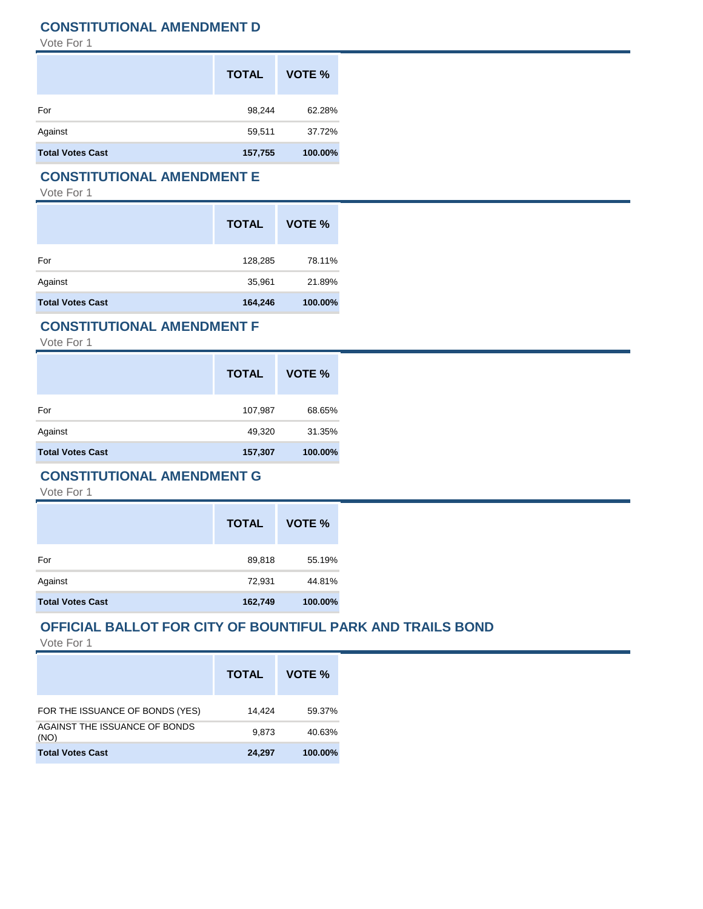### **CONSTITUTIONAL AMENDMENT D**

Vote For 1

|                         | <b>TOTAL</b> | VOTE %  |
|-------------------------|--------------|---------|
| For                     | 98,244       | 62.28%  |
| Against                 | 59,511       | 37.72%  |
| <b>Total Votes Cast</b> | 157,755      | 100.00% |

#### **CONSTITUTIONAL AMENDMENT E**

Vote For 1

|                         | <b>TOTAL</b> | VOTE %  |
|-------------------------|--------------|---------|
| For                     | 128,285      | 78.11%  |
| Against                 | 35,961       | 21.89%  |
| <b>Total Votes Cast</b> | 164,246      | 100.00% |

### **CONSTITUTIONAL AMENDMENT F**

Vote For 1

|                         | <b>TOTAL</b> | VOTE %  |
|-------------------------|--------------|---------|
| For                     | 107,987      | 68.65%  |
| Against                 | 49,320       | 31.35%  |
| <b>Total Votes Cast</b> | 157,307      | 100.00% |

#### **CONSTITUTIONAL AMENDMENT G**

Vote For 1

|                         | <b>TOTAL</b> | VOTE %  |
|-------------------------|--------------|---------|
| For                     | 89,818       | 55.19%  |
| Against                 | 72,931       | 44.81%  |
| <b>Total Votes Cast</b> | 162,749      | 100.00% |

### **OFFICIAL BALLOT FOR CITY OF BOUNTIFUL PARK AND TRAILS BOND**

|                                       | <b>TOTAL</b> | VOTE %  |
|---------------------------------------|--------------|---------|
| FOR THE ISSUANCE OF BONDS (YES)       | 14.424       | 59.37%  |
| AGAINST THE ISSUANCE OF BONDS<br>(NO) | 9.873        | 40.63%  |
| <b>Total Votes Cast</b>               | 24.297       | 100.00% |